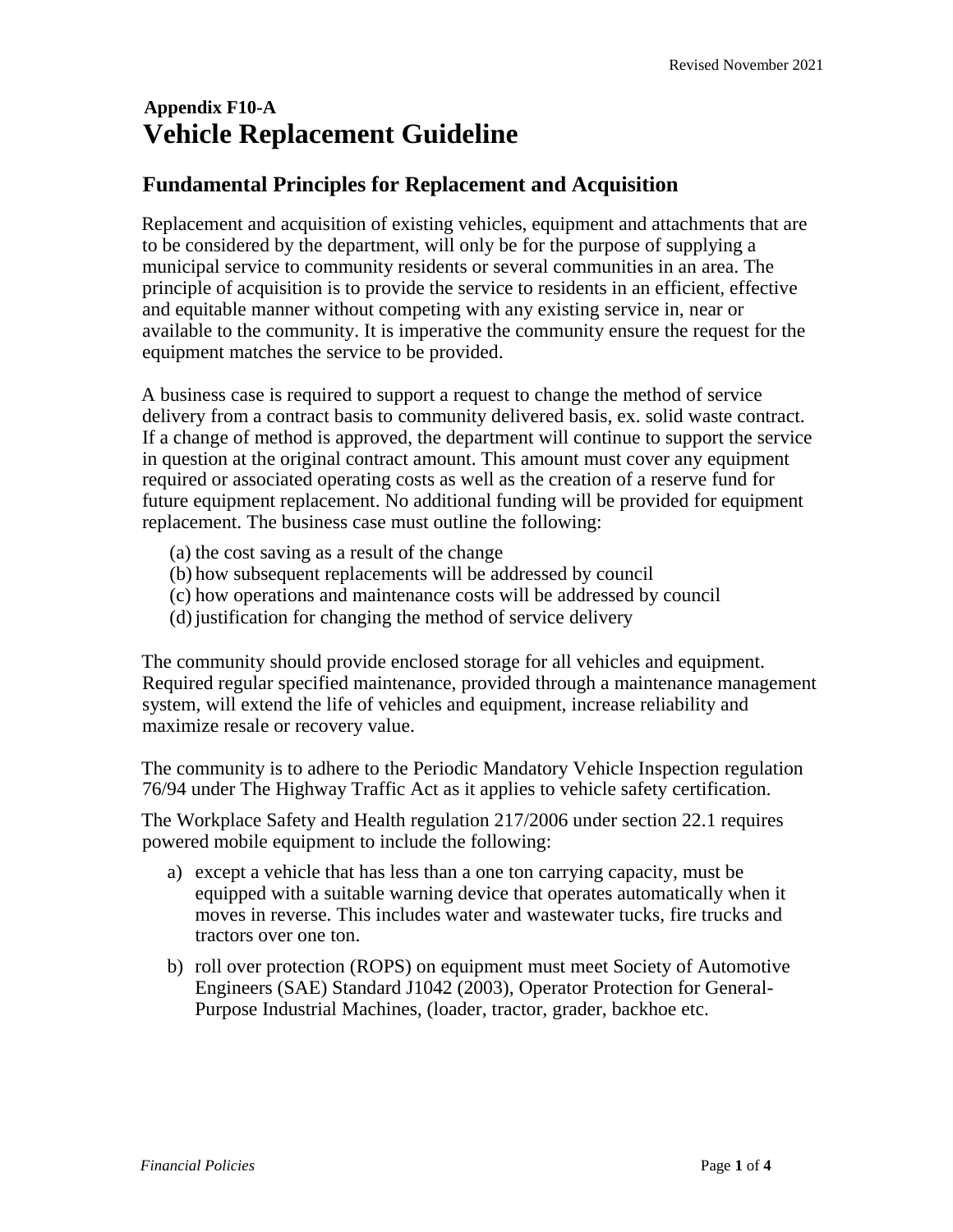# **Appendix F10-A Vehicle Replacement Guideline**

## **Fundamental Principles for Replacement and Acquisition**

Replacement and acquisition of existing vehicles, equipment and attachments that are to be considered by the department, will only be for the purpose of supplying a municipal service to community residents or several communities in an area. The principle of acquisition is to provide the service to residents in an efficient, effective and equitable manner without competing with any existing service in, near or available to the community. It is imperative the community ensure the request for the equipment matches the service to be provided.

A business case is required to support a request to change the method of service delivery from a contract basis to community delivered basis, ex. solid waste contract. If a change of method is approved, the department will continue to support the service in question at the original contract amount. This amount must cover any equipment required or associated operating costs as well as the creation of a reserve fund for future equipment replacement. No additional funding will be provided for equipment replacement. The business case must outline the following:

- (a) the cost saving as a result of the change
- (b) how subsequent replacements will be addressed by council
- (c) how operations and maintenance costs will be addressed by council
- (d)justification for changing the method of service delivery

The community should provide enclosed storage for all vehicles and equipment. Required regular specified maintenance, provided through a maintenance management system, will extend the life of vehicles and equipment, increase reliability and maximize resale or recovery value.

The community is to adhere to the Periodic Mandatory Vehicle Inspection regulation 76/94 under The Highway Traffic Act as it applies to vehicle safety certification.

The Workplace Safety and Health regulation 217/2006 under section 22.1 requires powered mobile equipment to include the following:

- a) except a vehicle that has less than a one ton carrying capacity, must be equipped with a suitable warning device that operates automatically when it moves in reverse. This includes water and wastewater tucks, fire trucks and tractors over one ton.
- b) roll over protection (ROPS) on equipment must meet Society of Automotive Engineers (SAE) Standard J1042 (2003), Operator Protection for General-Purpose Industrial Machines, (loader, tractor, grader, backhoe etc.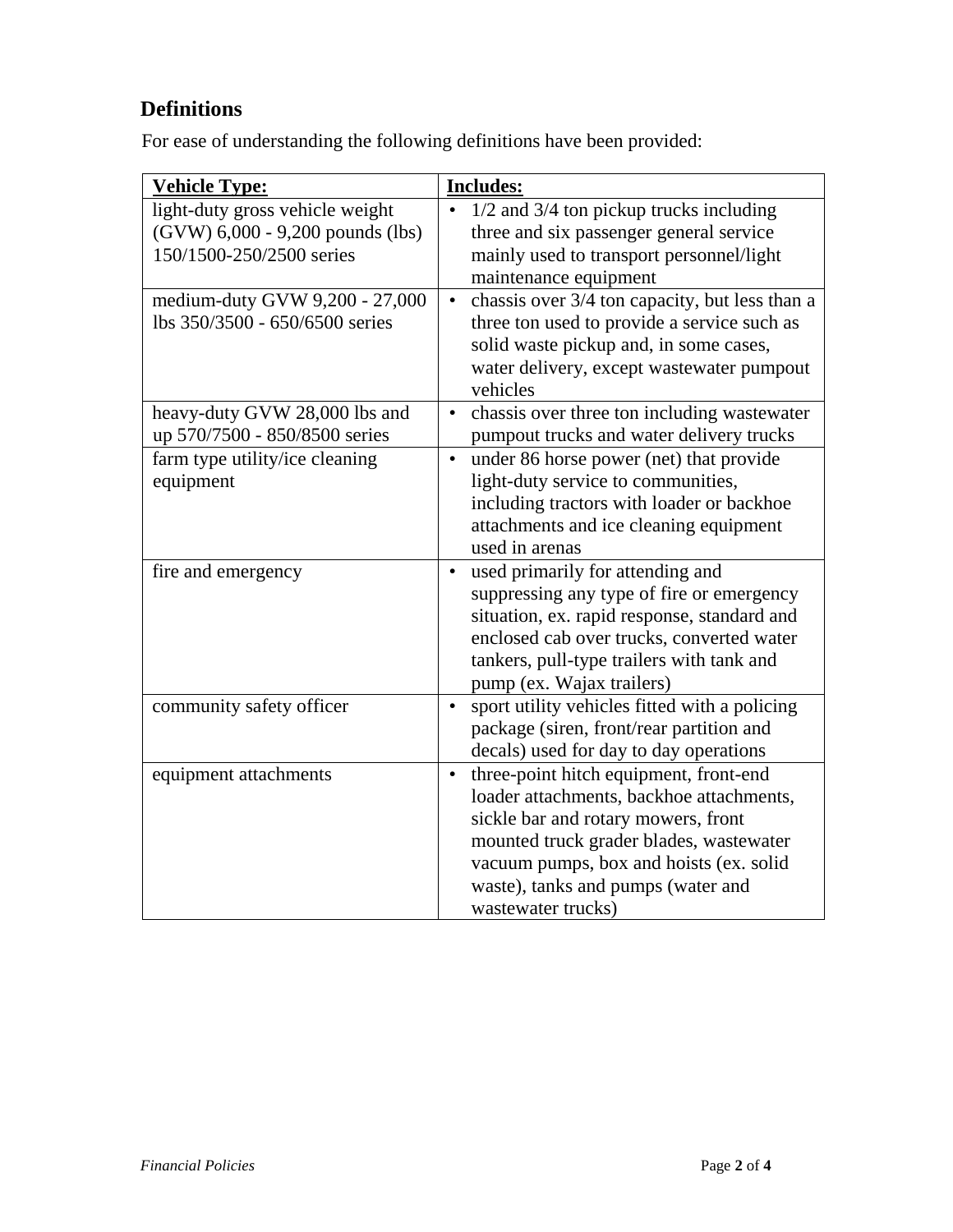# **Definitions**

For ease of understanding the following definitions have been provided:

| <b>Vehicle Type:</b>             | <b>Includes:</b>                                            |
|----------------------------------|-------------------------------------------------------------|
| light-duty gross vehicle weight  | 1/2 and 3/4 ton pickup trucks including                     |
| (GVW) 6,000 - 9,200 pounds (lbs) | three and six passenger general service                     |
| 150/1500-250/2500 series         | mainly used to transport personnel/light                    |
|                                  | maintenance equipment                                       |
| medium-duty GVW 9,200 - 27,000   | chassis over 3/4 ton capacity, but less than a<br>$\bullet$ |
| lbs 350/3500 - 650/6500 series   | three ton used to provide a service such as                 |
|                                  | solid waste pickup and, in some cases,                      |
|                                  | water delivery, except wastewater pumpout                   |
|                                  | vehicles                                                    |
| heavy-duty GVW 28,000 lbs and    | chassis over three ton including wastewater<br>$\bullet$    |
| up 570/7500 - 850/8500 series    | pumpout trucks and water delivery trucks                    |
| farm type utility/ice cleaning   | under 86 horse power (net) that provide<br>$\bullet$        |
| equipment                        | light-duty service to communities,                          |
|                                  | including tractors with loader or backhoe                   |
|                                  | attachments and ice cleaning equipment                      |
|                                  | used in arenas                                              |
| fire and emergency               | used primarily for attending and<br>$\bullet$               |
|                                  | suppressing any type of fire or emergency                   |
|                                  | situation, ex. rapid response, standard and                 |
|                                  | enclosed cab over trucks, converted water                   |
|                                  | tankers, pull-type trailers with tank and                   |
|                                  | pump (ex. Wajax trailers)                                   |
| community safety officer         | sport utility vehicles fitted with a policing<br>$\bullet$  |
|                                  | package (siren, front/rear partition and                    |
|                                  | decals) used for day to day operations                      |
| equipment attachments            | three-point hitch equipment, front-end<br>$\bullet$         |
|                                  | loader attachments, backhoe attachments,                    |
|                                  | sickle bar and rotary mowers, front                         |
|                                  | mounted truck grader blades, wastewater                     |
|                                  | vacuum pumps, box and hoists (ex. solid                     |
|                                  | waste), tanks and pumps (water and                          |
|                                  | wastewater trucks)                                          |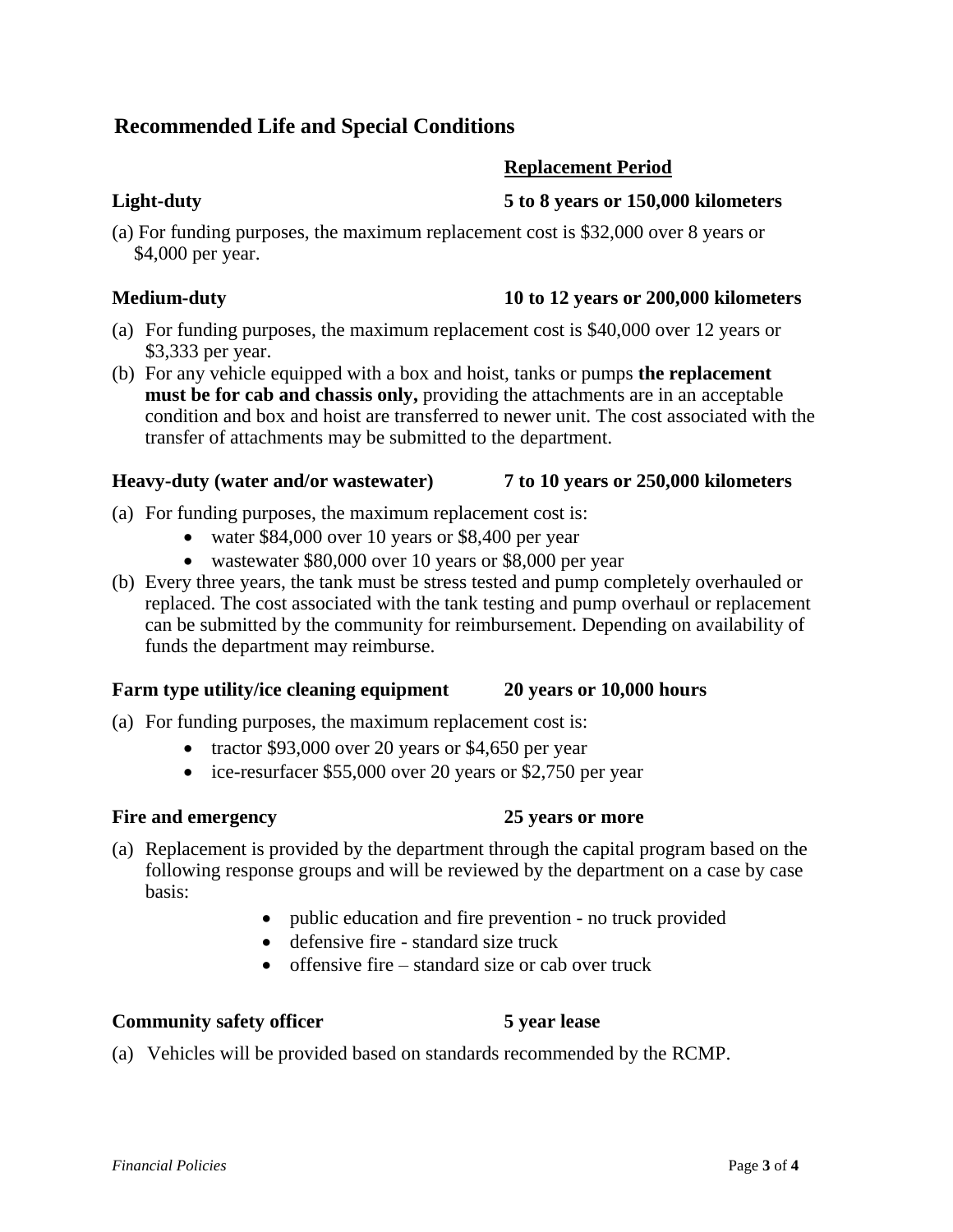# **Recommended Life and Special Conditions**

### **Replacement Period**

### **Light-duty 5 to 8 years or 150,000 kilometers**

(a) For funding purposes, the maximum replacement cost is \$32,000 over 8 years or \$4,000 per year.

#### **Medium-duty 10 to 12 years or 200,000 kilometers**

- (a) For funding purposes, the maximum replacement cost is \$40,000 over 12 years or \$3,333 per year.
- (b) For any vehicle equipped with a box and hoist, tanks or pumps **the replacement must be for cab and chassis only,** providing the attachments are in an acceptable condition and box and hoist are transferred to newer unit. The cost associated with the transfer of attachments may be submitted to the department.

#### **Heavy-duty (water and/or wastewater) 7 to 10 years or 250,000 kilometers**

- (a) For funding purposes, the maximum replacement cost is:
	- water \$84,000 over 10 years or \$8,400 per year
	- wastewater \$80,000 over 10 years or \$8,000 per year
- (b) Every three years, the tank must be stress tested and pump completely overhauled or replaced. The cost associated with the tank testing and pump overhaul or replacement can be submitted by the community for reimbursement. Depending on availability of funds the department may reimburse.

#### **Farm type utility/ice cleaning equipment 20 years or 10,000 hours**

- (a) For funding purposes, the maximum replacement cost is:
	- tractor  $$93,000$  over 20 years or  $$4,650$  per year
	- ice-resurfacer \$55,000 over 20 years or \$2,750 per year

### **Fire and emergency 25 years or more**

- (a) Replacement is provided by the department through the capital program based on the following response groups and will be reviewed by the department on a case by case basis:
	- public education and fire prevention no truck provided
	- defensive fire standard size truck
	- $\bullet$  offensive fire standard size or cab over truck

#### **Community safety officer 5 year lease**

(a) Vehicles will be provided based on standards recommended by the RCMP.